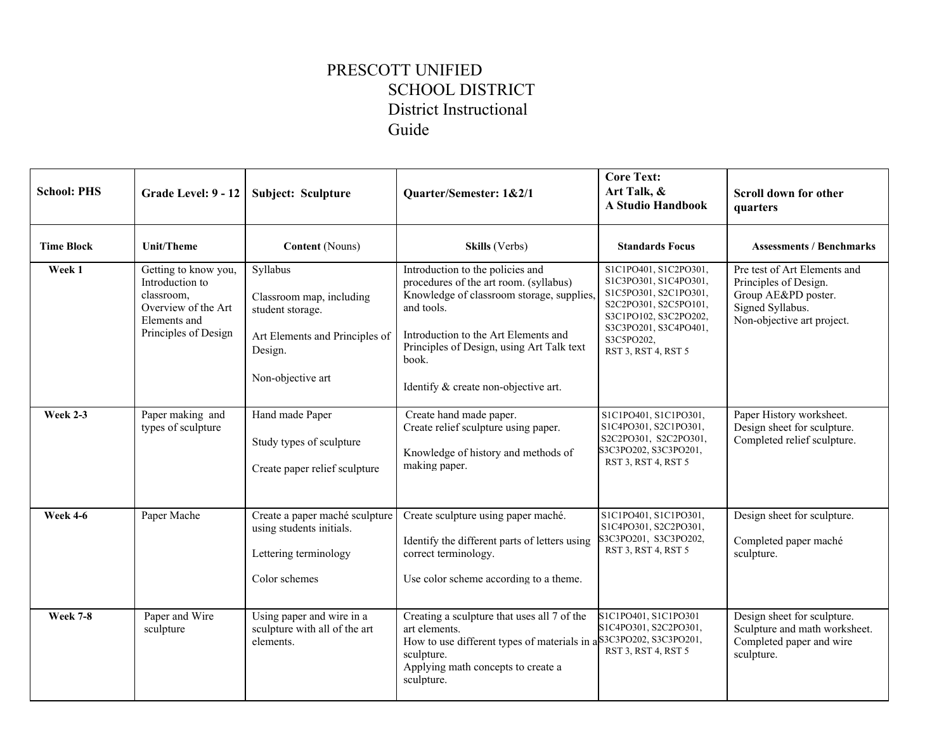## PRESCOTT UNIFIED SCHOOL DISTRICT District Instructional Guide

| <b>School: PHS</b> | Grade Level: 9 - 12                                                                                                  | Subject: Sculpture                                                                                                         | Quarter/Semester: 1&2/1                                                                                                                                                                                                                                                     | <b>Core Text:</b><br>Art Talk, &<br><b>A Studio Handbook</b>                                                                                                                            | Scroll down for other<br>quarters                                                                                              |
|--------------------|----------------------------------------------------------------------------------------------------------------------|----------------------------------------------------------------------------------------------------------------------------|-----------------------------------------------------------------------------------------------------------------------------------------------------------------------------------------------------------------------------------------------------------------------------|-----------------------------------------------------------------------------------------------------------------------------------------------------------------------------------------|--------------------------------------------------------------------------------------------------------------------------------|
| <b>Time Block</b>  | Unit/Theme                                                                                                           | <b>Content</b> (Nouns)                                                                                                     | Skills (Verbs)                                                                                                                                                                                                                                                              | <b>Standards Focus</b>                                                                                                                                                                  | <b>Assessments / Benchmarks</b>                                                                                                |
| Week 1             | Getting to know you,<br>Introduction to<br>classroom,<br>Overview of the Art<br>Elements and<br>Principles of Design | Syllabus<br>Classroom map, including<br>student storage.<br>Art Elements and Principles of<br>Design.<br>Non-objective art | Introduction to the policies and<br>procedures of the art room. (syllabus)<br>Knowledge of classroom storage, supplies,<br>and tools.<br>Introduction to the Art Elements and<br>Principles of Design, using Art Talk text<br>book.<br>Identify & create non-objective art. | S1C1PO401, S1C2PO301,<br>S1C3PO301, S1C4PO301,<br>S1C5PO301, S2C1PO301,<br>S2C2PO301, S2C5PO101,<br>S3C1PO102, S3C2PO202,<br>S3C3PO201, S3C4PO401,<br>S3C5PO202,<br>RST 3, RST 4, RST 5 | Pre test of Art Elements and<br>Principles of Design.<br>Group AE&PD poster.<br>Signed Syllabus.<br>Non-objective art project. |
| <b>Week 2-3</b>    | Paper making and<br>types of sculpture                                                                               | Hand made Paper<br>Study types of sculpture<br>Create paper relief sculpture                                               | Create hand made paper.<br>Create relief sculpture using paper.<br>Knowledge of history and methods of<br>making paper.                                                                                                                                                     | S1C1PO401, S1C1PO301,<br>S1C4PO301, S2C1PO301,<br>S2C2PO301, S2C2PO301,<br>S3C3PO202, S3C3PO201,<br>RST 3, RST 4, RST 5                                                                 | Paper History worksheet.<br>Design sheet for sculpture.<br>Completed relief sculpture.                                         |
| <b>Week 4-6</b>    | Paper Mache                                                                                                          | Create a paper maché sculpture<br>using students initials.<br>Lettering terminology<br>Color schemes                       | Create sculpture using paper maché.<br>Identify the different parts of letters using<br>correct terminology.<br>Use color scheme according to a theme.                                                                                                                      | S1C1PO401, S1C1PO301,<br>S1C4PO301, S2C2PO301,<br>S3C3PO201, S3C3PO202,<br>RST 3, RST 4, RST 5                                                                                          | Design sheet for sculpture.<br>Completed paper maché<br>sculpture.                                                             |
| <b>Week 7-8</b>    | Paper and Wire<br>sculpture                                                                                          | Using paper and wire in a<br>sculpture with all of the art<br>elements.                                                    | Creating a sculpture that uses all 7 of the<br>art elements.<br>How to use different types of materials in a S3C3PO202, S3C3PO201,<br>sculpture.<br>Applying math concepts to create a<br>sculpture.                                                                        | S1C1PO401, S1C1PO301<br>S1C4PO301, S2C2PO301,<br>RST 3, RST 4, RST 5                                                                                                                    | Design sheet for sculpture.<br>Sculpture and math worksheet.<br>Completed paper and wire<br>sculpture.                         |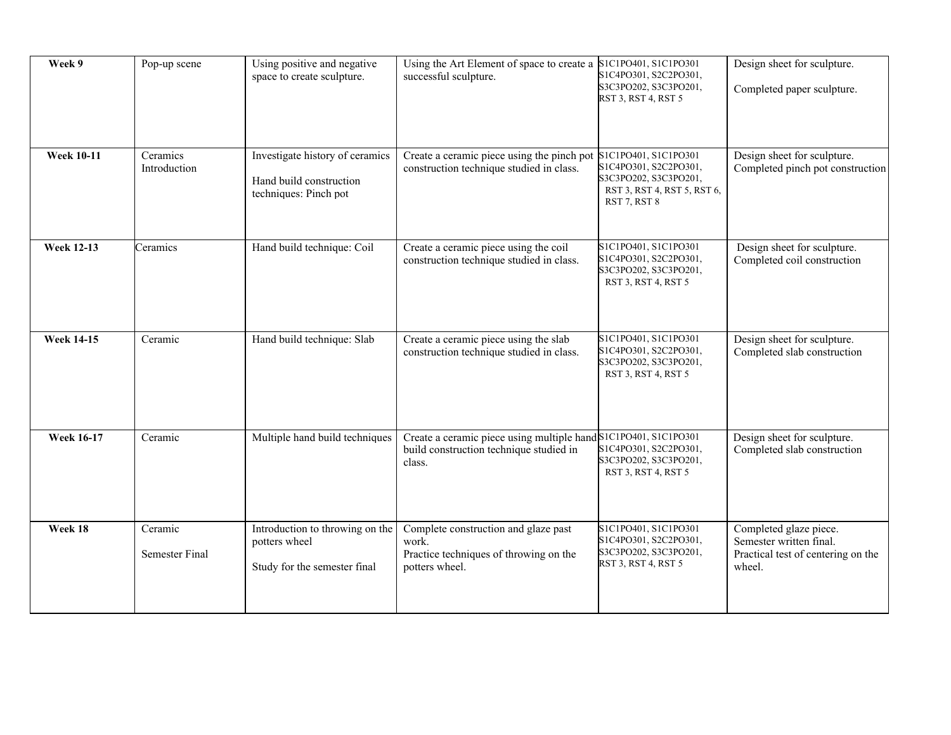| Week 9            | Pop-up scene              | Using positive and negative<br>space to create sculpture.                           | Using the Art Element of space to create a<br>successful sculpture.                                                  | S1C1PO401, S1C1PO301<br>S1C4PO301, S2C2PO301,<br>S3C3PO202, S3C3PO201,<br>RST 3, RST 4, RST 5                         | Design sheet for sculpture.<br>Completed paper sculpture.                                         |
|-------------------|---------------------------|-------------------------------------------------------------------------------------|----------------------------------------------------------------------------------------------------------------------|-----------------------------------------------------------------------------------------------------------------------|---------------------------------------------------------------------------------------------------|
| <b>Week 10-11</b> | Ceramics<br>Introduction  | Investigate history of ceramics<br>Hand build construction<br>techniques: Pinch pot | Create a ceramic piece using the pinch pot<br>construction technique studied in class.                               | S1C1PO401, S1C1PO301<br>S1C4PO301, S2C2PO301,<br>S3C3PO202, S3C3PO201,<br>RST 3, RST 4, RST 5, RST 6,<br>RST 7, RST 8 | Design sheet for sculpture.<br>Completed pinch pot construction                                   |
| <b>Week 12-13</b> | Ceramics                  | Hand build technique: Coil                                                          | Create a ceramic piece using the coil<br>construction technique studied in class.                                    | S1C1PO401, S1C1PO301<br>S1C4PO301, S2C2PO301,<br>S3C3PO202, S3C3PO201,<br>RST 3, RST 4, RST 5                         | Design sheet for sculpture.<br>Completed coil construction                                        |
| <b>Week 14-15</b> | Ceramic                   | Hand build technique: Slab                                                          | Create a ceramic piece using the slab<br>construction technique studied in class.                                    | S1C1PO401, S1C1PO301<br>S1C4PO301, S2C2PO301,<br>S3C3PO202, S3C3PO201,<br>RST 3, RST 4, RST 5                         | Design sheet for sculpture.<br>Completed slab construction                                        |
| <b>Week 16-17</b> | Ceramic                   | Multiple hand build techniques                                                      | Create a ceramic piece using multiple hand S1C1PO401, S1C1PO301<br>build construction technique studied in<br>class. | S1C4PO301, S2C2PO301,<br>S3C3PO202, S3C3PO201,<br>RST 3, RST 4, RST 5                                                 | Design sheet for sculpture.<br>Completed slab construction                                        |
| Week 18           | Ceramic<br>Semester Final | Introduction to throwing on the<br>potters wheel<br>Study for the semester final    | Complete construction and glaze past<br>work.<br>Practice techniques of throwing on the<br>potters wheel.            | S1C1PO401, S1C1PO301<br>S1C4PO301, S2C2PO301,<br>S3C3PO202, S3C3PO201,<br>RST 3, RST 4, RST 5                         | Completed glaze piece.<br>Semester written final.<br>Practical test of centering on the<br>wheel. |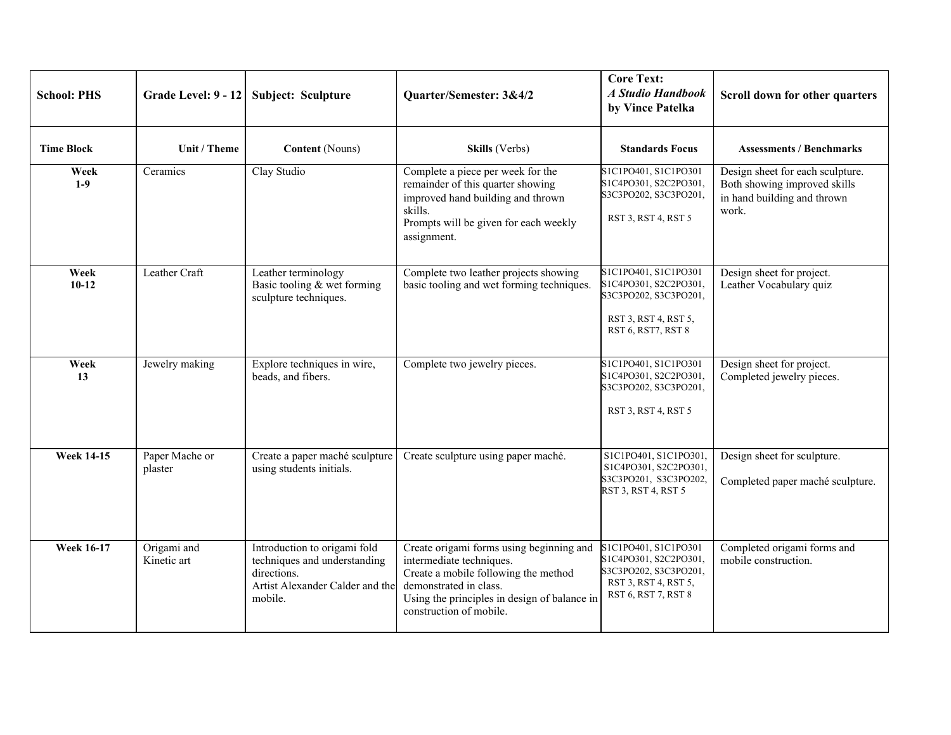| <b>School: PHS</b> | Grade Level: 9 - 12        | Subject: Sculpture                                                                                                        | Quarter/Semester: 3&4/2                                                                                                                                                                                           | <b>Core Text:</b><br>A Studio Handbook<br>by Vince Patelka                                                            | Scroll down for other quarters                                                                           |
|--------------------|----------------------------|---------------------------------------------------------------------------------------------------------------------------|-------------------------------------------------------------------------------------------------------------------------------------------------------------------------------------------------------------------|-----------------------------------------------------------------------------------------------------------------------|----------------------------------------------------------------------------------------------------------|
| <b>Time Block</b>  | Unit / Theme               | <b>Content</b> (Nouns)                                                                                                    | Skills (Verbs)                                                                                                                                                                                                    | <b>Standards Focus</b>                                                                                                | <b>Assessments / Benchmarks</b>                                                                          |
| Week<br>$1-9$      | Ceramics                   | Clay Studio                                                                                                               | Complete a piece per week for the<br>remainder of this quarter showing<br>improved hand building and thrown<br>skills.<br>Prompts will be given for each weekly<br>assignment.                                    | S1C1PO401, S1C1PO301<br>S1C4PO301, S2C2PO301,<br>S3C3PO202, S3C3PO201,<br>RST 3, RST 4, RST 5                         | Design sheet for each sculpture.<br>Both showing improved skills<br>in hand building and thrown<br>work. |
| Week<br>$10-12$    | Leather Craft              | Leather terminology<br>Basic tooling & wet forming<br>sculpture techniques.                                               | Complete two leather projects showing<br>basic tooling and wet forming techniques.                                                                                                                                | S1C1PO401, S1C1PO301<br>S1C4PO301, S2C2PO301,<br>S3C3PO202, S3C3PO201,<br>RST 3, RST 4, RST 5,<br>RST 6, RST7, RST 8  | Design sheet for project.<br>Leather Vocabulary quiz                                                     |
| Week<br>13         | Jewelry making             | Explore techniques in wire,<br>beads, and fibers.                                                                         | Complete two jewelry pieces.                                                                                                                                                                                      | S1C1PO401, S1C1PO301<br>S1C4PO301, S2C2PO301,<br>S3C3PO202, S3C3PO201,<br>RST 3, RST 4, RST 5                         | Design sheet for project.<br>Completed jewelry pieces.                                                   |
| <b>Week 14-15</b>  | Paper Mache or<br>plaster  | Create a paper maché sculpture<br>using students initials.                                                                | Create sculpture using paper maché.                                                                                                                                                                               | S1C1PO401, S1C1PO301,<br>S1C4PO301, S2C2PO301,<br>S3C3PO201, S3C3PO202,<br>RST 3, RST 4, RST 5                        | Design sheet for sculpture.<br>Completed paper maché sculpture.                                          |
| <b>Week 16-17</b>  | Origami and<br>Kinetic art | Introduction to origami fold<br>techniques and understanding<br>directions.<br>Artist Alexander Calder and the<br>mobile. | Create origami forms using beginning and<br>intermediate techniques.<br>Create a mobile following the method<br>demonstrated in class.<br>Using the principles in design of balance in<br>construction of mobile. | S1C1PO401, S1C1PO301<br>S1C4PO301, S2C2PO301,<br>S3C3PO202, S3C3PO201,<br>RST 3, RST 4, RST 5,<br>RST 6, RST 7, RST 8 | Completed origami forms and<br>mobile construction.                                                      |